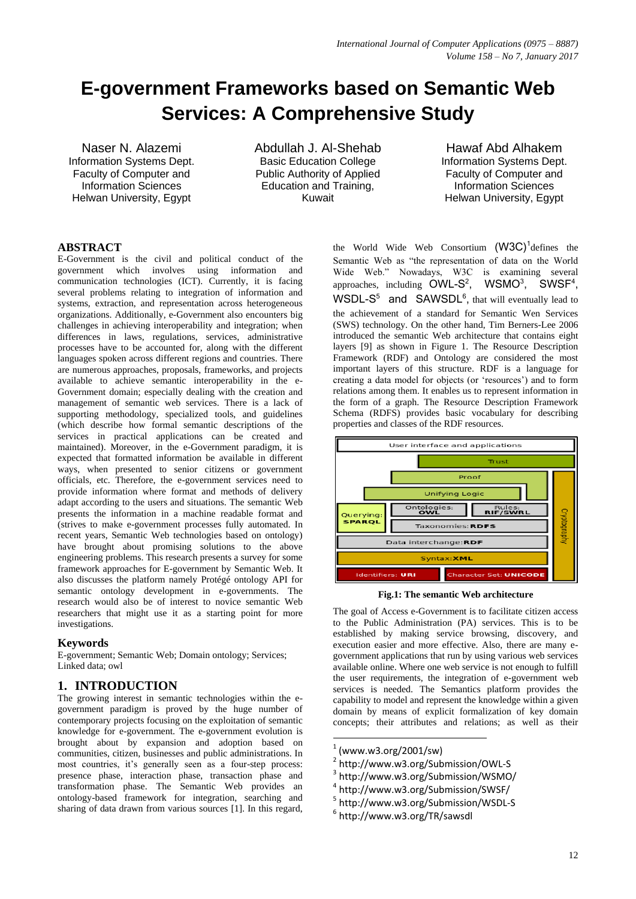# **E-government Frameworks based on Semantic Web Services: A Comprehensive Study**

Naser N. Alazemi Information Systems Dept. Faculty of Computer and Information Sciences Helwan University, Egypt

Abdullah J. Al-Shehab Basic Education College Public Authority of Applied Education and Training, Kuwait

Hawaf Abd Alhakem Information Systems Dept. Faculty of Computer and Information Sciences Helwan University, Egypt

#### **ABSTRACT**

E-Government is the civil and political conduct of the government which involves using information and communication technologies (ICT). Currently, it is facing several problems relating to integration of information and systems, extraction, and representation across heterogeneous organizations. Additionally, e-Government also encounters big challenges in achieving interoperability and integration; when differences in laws, regulations, services, administrative processes have to be accounted for, along with the different languages spoken across different regions and countries. There are numerous approaches, proposals, frameworks, and projects available to achieve semantic interoperability in the e-Government domain; especially dealing with the creation and management of semantic web services. There is a lack of supporting methodology, specialized tools, and guidelines (which describe how formal semantic descriptions of the services in practical applications can be created and maintained). Moreover, in the e-Government paradigm, it is expected that formatted information be available in different ways, when presented to senior citizens or government officials, etc. Therefore, the e-government services need to provide information where format and methods of delivery adapt according to the users and situations. The semantic Web presents the information in a machine readable format and (strives to make e-government processes fully automated. In recent years, Semantic Web technologies based on ontology) have brought about promising solutions to the above engineering problems. This research presents a survey for some framework approaches for E-government by Semantic Web. It also discusses the platform namely Protégé ontology API for semantic ontology development in e-governments. The research would also be of interest to novice semantic Web researchers that might use it as a starting point for more investigations.

#### **Keywords**

E-government; Semantic Web; Domain ontology; Services; Linked data; owl

# **1. INTRODUCTION**

The growing interest in semantic technologies within the egovernment paradigm is proved by the huge number of contemporary projects focusing on the exploitation of semantic knowledge for e-government. The e-government evolution is brought about by expansion and adoption based on communities, citizen, businesses and public administrations. In most countries, it's generally seen as a four-step process: presence phase, interaction phase, transaction phase and transformation phase. The Semantic Web provides an ontology-based framework for integration, searching and sharing of data drawn from various sources [1]. In this regard,

the World Wide Web Consortium  $(W3C)^1$  defines the Semantic Web as "the representation of data on the World Wide Web." Nowadays, W3C is examining several approaches, including  $OWL-S^2$ ,  $WSMO^3$ ,  $SWSF^4$ ,  $WSDL-S<sup>5</sup>$  and  $SAWSDL<sup>6</sup>$ , that will eventually lead to the achievement of a standard for Semantic Wen Services (SWS) technology. On the other hand, Tim Berners-Lee 2006 introduced the semantic Web architecture that contains eight layers [9] as shown in Figure 1. The Resource Description Framework (RDF) and Ontology are considered the most important layers of this structure. RDF is a language for creating a data model for objects (or "resources") and to form relations among them. It enables us to represent information in the form of a graph. The Resource Description Framework Schema (RDFS) provides basic vocabulary for describing properties and classes of the RDF resources.



**Fig.1: The semantic Web architecture**

The goal of Access e-Government is to facilitate citizen access to the Public Administration (PA) services. This is to be established by making service browsing, discovery, and execution easier and more effective. Also, there are many egovernment applications that run by using various web services available online. Where one web service is not enough to fulfill the user requirements, the integration of e-government web services is needed. The Semantics platform provides the capability to model and represent the knowledge within a given domain by means of explicit formalization of key domain concepts; their attributes and relations; as well as their

 $\overline{a}$ 

<sup>1</sup> (www.w3.org/2001/sw)

<sup>2</sup> http://www.w3.org/Submission/OWL-S

<sup>3</sup> http://www.w3.org/Submission/WSMO/

<sup>4</sup> http://www.w3.org/Submission/SWSF/

<sup>5</sup> http://www.w3.org/Submission/WSDL-S

<sup>6</sup> http://www.w3.org/TR/sawsdl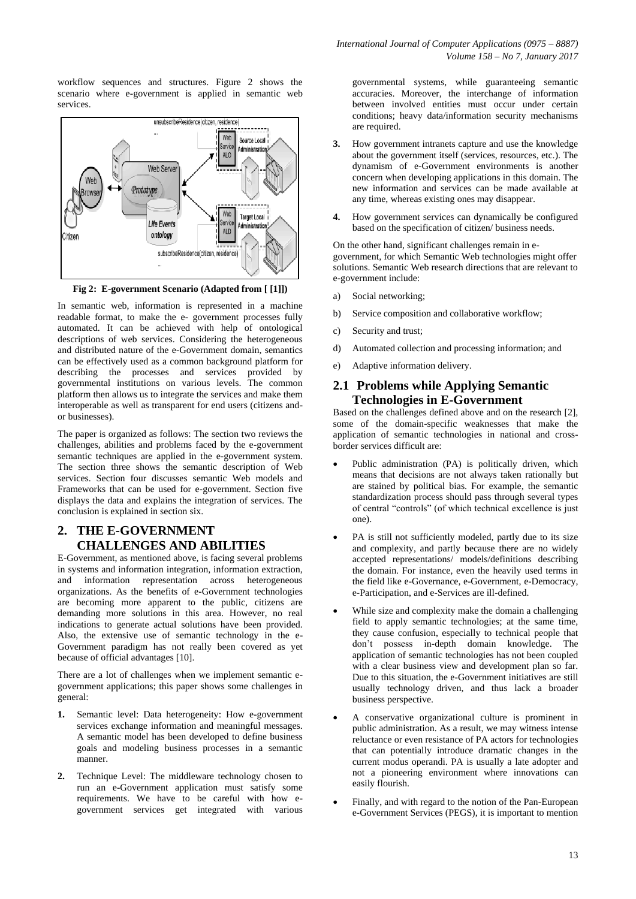workflow sequences and structures. Figure 2 shows the scenario where e-government is applied in semantic web services.



**Fig 2: E-government Scenario (Adapted from [ [1]])**

In semantic web, information is represented in a machine readable format, to make the e- government processes fully automated. It can be achieved with help of ontological descriptions of web services. Considering the heterogeneous and distributed nature of the e-Government domain, semantics can be effectively used as a common background platform for describing the processes and services provided by governmental institutions on various levels. The common platform then allows us to integrate the services and make them interoperable as well as transparent for end users (citizens andor businesses).

The paper is organized as follows: The section two reviews the challenges, abilities and problems faced by the e-government semantic techniques are applied in the e-government system. The section three shows the semantic description of Web services. Section four discusses semantic Web models and Frameworks that can be used for e-government. Section five displays the data and explains the integration of services. The conclusion is explained in section six.

# **2. THE E-GOVERNMENT CHALLENGES AND ABILITIES**

E-Government, as mentioned above, is facing several problems in systems and information integration, information extraction, and information representation across heterogeneous organizations. As the benefits of e-Government technologies are becoming more apparent to the public, citizens are demanding more solutions in this area. However, no real indications to generate actual solutions have been provided. Also, the extensive use of semantic technology in the e-Government paradigm has not really been covered as yet because of official advantages [10].

There are a lot of challenges when we implement semantic egovernment applications; this paper shows some challenges in general:

- **1.** Semantic level: Data heterogeneity: How e-government services exchange information and meaningful messages. A semantic model has been developed to define business goals and modeling business processes in a semantic manner.
- **2.** Technique Level: The middleware technology chosen to run an e-Government application must satisfy some requirements. We have to be careful with how egovernment services get integrated with various

governmental systems, while guaranteeing semantic accuracies. Moreover, the interchange of information between involved entities must occur under certain conditions; heavy data/information security mechanisms are required.

- **3.** How government intranets capture and use the knowledge about the government itself (services, resources, etc.). The dynamism of e-Government environments is another concern when developing applications in this domain. The new information and services can be made available at any time, whereas existing ones may disappear.
- **4.** How government services can dynamically be configured based on the specification of citizen/ business needs.

On the other hand, significant challenges remain in egovernment, for which Semantic Web technologies might offer solutions. Semantic Web research directions that are relevant to e-government include:

- a) Social networking;
- b) Service composition and collaborative workflow;
- c) Security and trust;
- d) Automated collection and processing information; and
- e) Adaptive information delivery.

### **2.1 Problems while Applying Semantic Technologies in E-Government**

Based on the challenges defined above and on the research [2], some of the domain-specific weaknesses that make the application of semantic technologies in national and crossborder services difficult are:

- Public administration (PA) is politically driven, which means that decisions are not always taken rationally but are stained by political bias. For example, the semantic standardization process should pass through several types of central "controls" (of which technical excellence is just one).
- PA is still not sufficiently modeled, partly due to its size and complexity, and partly because there are no widely accepted representations/ models/definitions describing the domain. For instance, even the heavily used terms in the field like e-Governance, e-Government, e-Democracy, e-Participation, and e-Services are ill-defined.
- While size and complexity make the domain a challenging field to apply semantic technologies; at the same time, they cause confusion, especially to technical people that don"t possess in-depth domain knowledge. The application of semantic technologies has not been coupled with a clear business view and development plan so far. Due to this situation, the e-Government initiatives are still usually technology driven, and thus lack a broader business perspective.
- A conservative organizational culture is prominent in public administration. As a result, we may witness intense reluctance or even resistance of PA actors for technologies that can potentially introduce dramatic changes in the current modus operandi. PA is usually a late adopter and not a pioneering environment where innovations can easily flourish.
- Finally, and with regard to the notion of the Pan-European e-Government Services (PEGS), it is important to mention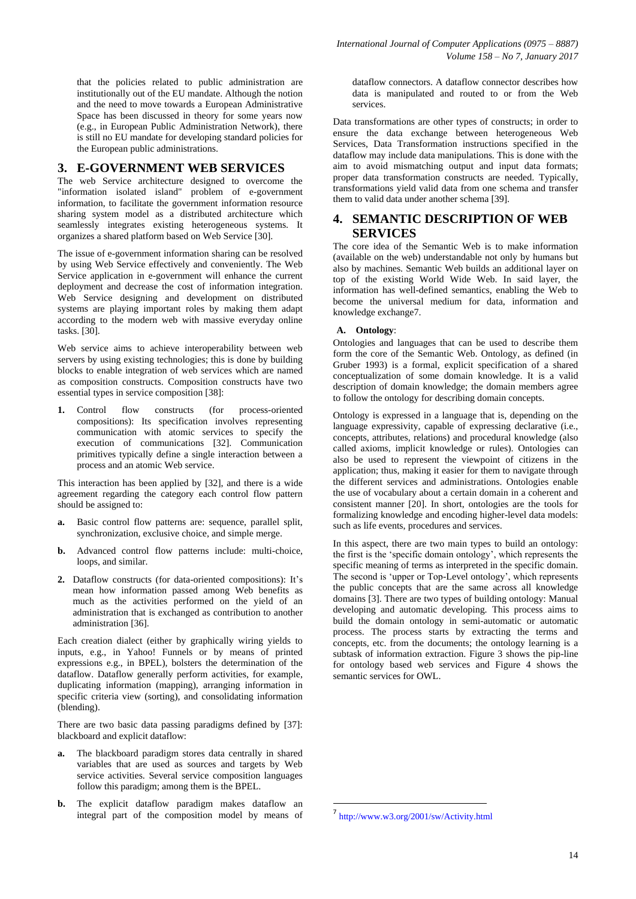#### **3. E-GOVERNMENT WEB SERVICES**

The web Service architecture designed to overcome the "information isolated island" problem of e-government information, to facilitate the government information resource sharing system model as a distributed architecture which seamlessly integrates existing heterogeneous systems. It organizes a shared platform based on Web Service [30].

The issue of e-government information sharing can be resolved by using Web Service effectively and conveniently. The Web Service application in e-government will enhance the current deployment and decrease the cost of information integration. Web Service designing and development on distributed systems are playing important roles by making them adapt according to the modern web with massive everyday online tasks. [30].

Web service aims to achieve interoperability between web servers by using existing technologies; this is done by building blocks to enable integration of web services which are named as composition constructs. Composition constructs have two essential types in service composition [38]:

**1.** Control flow constructs (for process-oriented compositions): Its specification involves representing communication with atomic services to specify the execution of communications [32]. Communication primitives typically define a single interaction between a process and an atomic Web service.

This interaction has been applied by [32], and there is a wide agreement regarding the category each control flow pattern should be assigned to:

- **a.** Basic control flow patterns are: sequence, parallel split, synchronization, exclusive choice, and simple merge.
- **b.** Advanced control flow patterns include: multi-choice, loops, and similar.
- **2.** Dataflow constructs (for data-oriented compositions): It"s mean how information passed among Web benefits as much as the activities performed on the yield of an administration that is exchanged as contribution to another administration [36].

Each creation dialect (either by graphically wiring yields to inputs, e.g., in Yahoo! Funnels or by means of printed expressions e.g., in BPEL), bolsters the determination of the dataflow. Dataflow generally perform activities, for example, duplicating information (mapping), arranging information in specific criteria view (sorting), and consolidating information (blending).

There are two basic data passing paradigms defined by [37]: blackboard and explicit dataflow:

- **a.** The blackboard paradigm stores data centrally in shared variables that are used as sources and targets by Web service activities. Several service composition languages follow this paradigm; among them is the BPEL.
- **b.** The explicit dataflow paradigm makes dataflow an integral part of the composition model by means of

dataflow connectors. A dataflow connector describes how data is manipulated and routed to or from the Web services.

Data transformations are other types of constructs; in order to ensure the data exchange between heterogeneous Web Services, Data Transformation instructions specified in the dataflow may include data manipulations. This is done with the aim to avoid mismatching output and input data formats; proper data transformation constructs are needed. Typically, transformations yield valid data from one schema and transfer them to valid data under another schema [39].

## **4. SEMANTIC DESCRIPTION OF WEB SERVICES**

The core idea of the Semantic Web is to make information (available on the web) understandable not only by humans but also by machines. Semantic Web builds an additional layer on top of the existing World Wide Web. In said layer, the information has well-defined semantics, enabling the Web to become the universal medium for data, information and knowledge exchange7.

#### **A. Ontology**:

Ontologies and languages that can be used to describe them form the core of the Semantic Web. Ontology, as defined (in Gruber 1993) is a formal, explicit specification of a shared conceptualization of some domain knowledge. It is a valid description of domain knowledge; the domain members agree to follow the ontology for describing domain concepts.

Ontology is expressed in a language that is, depending on the language expressivity, capable of expressing declarative (i.e., concepts, attributes, relations) and procedural knowledge (also called axioms, implicit knowledge or rules). Ontologies can also be used to represent the viewpoint of citizens in the application; thus, making it easier for them to navigate through the different services and administrations. Ontologies enable the use of vocabulary about a certain domain in a coherent and consistent manner [20]. In short, ontologies are the tools for formalizing knowledge and encoding higher-level data models: such as life events, procedures and services.

In this aspect, there are two main types to build an ontology: the first is the "specific domain ontology", which represents the specific meaning of terms as interpreted in the specific domain. The second is "upper or Top-Level ontology", which represents the public concepts that are the same across all knowledge domains [3]. There are two types of building ontology: Manual developing and automatic developing. This process aims to build the domain ontology in semi-automatic or automatic process. The process starts by extracting the terms and concepts, etc. from the documents; the ontology learning is a subtask of information extraction. Figure 3 shows the pip-line for ontology based web services and Figure 4 shows the semantic services for OWL.

1

<sup>7</sup> http://www.w3.org/2001/sw/Activity.html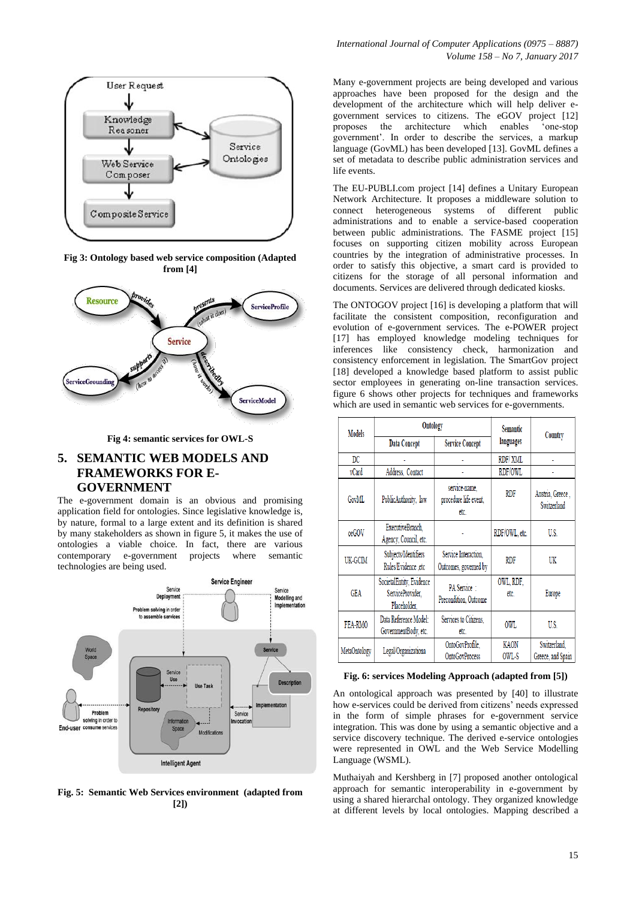

**Fig 3: Ontology based web service composition (Adapted from [4]**



**Fig 4: semantic services for OWL-S**

### **5. SEMANTIC WEB MODELS AND FRAMEWORKS FOR E-GOVERNMENT**

The e-government domain is an obvious and promising application field for ontologies. Since legislative knowledge is, by nature, formal to a large extent and its definition is shared by many stakeholders as shown in figure 5, it makes the use of ontologies a viable choice. In fact, there are various contemporary e-government projects where semantic technologies are being used.



**Fig. 5: Semantic Web Services environment (adapted from [2])**

Many e-government projects are being developed and various approaches have been proposed for the design and the development of the architecture which will help deliver egovernment services to citizens. The eGOV project [12] proposes the architecture which enables 'one-stop proposes the architecture which enables "one-stop government". In order to describe the services, a markup language (GovML) has been developed [13]. GovML defines a set of metadata to describe public administration services and life events.

The EU-PUBLI.com project [14] defines a Unitary European Network Architecture. It proposes a middleware solution to connect heterogeneous systems of different public administrations and to enable a service-based cooperation between public administrations. The FASME project [15] focuses on supporting citizen mobility across European countries by the integration of administrative processes. In order to satisfy this objective, a smart card is provided to citizens for the storage of all personal information and documents. Services are delivered through dedicated kiosks.

The ONTOGOV project [16] is developing a platform that will facilitate the consistent composition, reconfiguration and evolution of e-government services. The e-POWER project [17] has employed knowledge modeling techniques for inferences like consistency check, harmonization and consistency enforcement in legislation. The SmartGov project [18] developed a knowledge based platform to assist public sector employees in generating on-line transaction services. figure 6 shows other projects for techniques and frameworks which are used in semantic web services for e-governments.

| <b>Models</b> | Ontology                                                     |                                                | Semantic          |                                   |
|---------------|--------------------------------------------------------------|------------------------------------------------|-------------------|-----------------------------------|
|               | Data Concept                                                 | <b>Service Concept</b>                         | languages         | Country                           |
| DC            |                                                              |                                                | RDF/XML           | ä,                                |
| vCard         | Address, Contact                                             |                                                | RDF/OWL           |                                   |
| GovML         | PublicAuthority, law                                         | service-name,<br>procedure life event,<br>etc. | <b>RDF</b>        | Austria, Greece.<br>Switzerland   |
| oeGOV         | ExecutiveBranch.<br>Agency, Council, etc.                    | ï                                              | RDF/OWL, etc.     | U.S.                              |
| UK-GCIM       | Subjects/Identifiers<br>Rules/Evidence .etc                  | Service Interaction.<br>Outcomes, governed by  | <b>RDF</b>        | UK                                |
| GEA           | SocietalEntity, Evidence<br>ServiceProvider,<br>Placeholder. | PA Service :<br>Precondition, Outcome          | OWL, RDF.<br>etc. | Europe                            |
| FEA-RMO       | Data Reference Model:<br>GovernmentBody, etc.                | Services to Citizens.<br>etc.                  | OWL               | U.S.                              |
| MetaOntology  | Legal/Organizationa                                          | OntoGovProfile.<br><b>OntoGovProcess</b>       | KAON<br>OWL-S     | Switzerland.<br>Greece, and Spain |

#### **Fig. 6: services Modeling Approach (adapted from [5])**

An ontological approach was presented by [40] to illustrate how e-services could be derived from citizens' needs expressed in the form of simple phrases for e-government service integration. This was done by using a semantic objective and a service discovery technique. The derived e-service ontologies were represented in OWL and the Web Service Modelling Language (WSML).

Muthaiyah and Kershberg in [7] proposed another ontological approach for semantic interoperability in e-government by using a shared hierarchal ontology. They organized knowledge at different levels by local ontologies. Mapping described a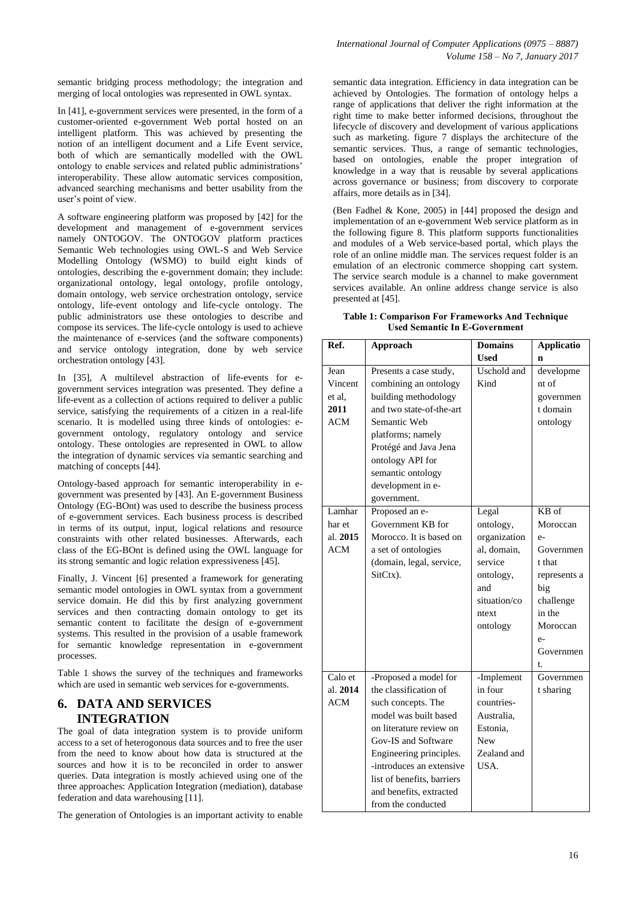semantic bridging process methodology; the integration and merging of local ontologies was represented in OWL syntax.

In [41], e-government services were presented, in the form of a customer-oriented e-government Web portal hosted on an intelligent platform. This was achieved by presenting the notion of an intelligent document and a Life Event service, both of which are semantically modelled with the OWL ontology to enable services and related public administrations" interoperability. These allow automatic services composition, advanced searching mechanisms and better usability from the user's point of view.

A software engineering platform was proposed by [42] for the development and management of e-government services namely ONTOGOV. The ONTOGOV platform practices Semantic Web technologies using OWL-S and Web Service Modelling Ontology (WSMO) to build eight kinds of ontologies, describing the e-government domain; they include: organizational ontology, legal ontology, profile ontology, domain ontology, web service orchestration ontology, service ontology, life-event ontology and life-cycle ontology. The public administrators use these ontologies to describe and compose its services. The life-cycle ontology is used to achieve the maintenance of e-services (and the software components) and service ontology integration, done by web service orchestration ontology [43].

In [35], A multilevel abstraction of life-events for egovernment services integration was presented. They define a life-event as a collection of actions required to deliver a public service, satisfying the requirements of a citizen in a real-life scenario. It is modelled using three kinds of ontologies: egovernment ontology, regulatory ontology and service ontology. These ontologies are represented in OWL to allow the integration of dynamic services via semantic searching and matching of concepts [44].

Ontology-based approach for semantic interoperability in egovernment was presented by [43]. An E-government Business Ontology (EG-BOnt) was used to describe the business process of e-government services. Each business process is described in terms of its output, input, logical relations and resource constraints with other related businesses. Afterwards, each class of the EG-BOnt is defined using the OWL language for its strong semantic and logic relation expressiveness [45].

Finally, J. Vincent [6] presented a framework for generating semantic model ontologies in OWL syntax from a government service domain. He did this by first analyzing government services and then contracting domain ontology to get its semantic content to facilitate the design of e-government systems. This resulted in the provision of a usable framework for semantic knowledge representation in e-government processes.

Table 1 shows the survey of the techniques and frameworks which are used in semantic web services for e-governments.

### **6. DATA AND SERVICES INTEGRATION**

The goal of data integration system is to provide uniform access to a set of heterogonous data sources and to free the user from the need to know about how data is structured at the sources and how it is to be reconciled in order to answer queries. Data integration is mostly achieved using one of the three approaches: Application Integration (mediation), database federation and data warehousing [11].

The generation of Ontologies is an important activity to enable

semantic data integration. Efficiency in data integration can be achieved by Ontologies. The formation of ontology helps a range of applications that deliver the right information at the right time to make better informed decisions, throughout the lifecycle of discovery and development of various applications such as marketing. figure 7 displays the architecture of the semantic services. Thus, a range of semantic technologies, based on ontologies, enable the proper integration of knowledge in a way that is reusable by several applications across governance or business; from discovery to corporate affairs, more details as in [34].

(Ben Fadhel & Kone, 2005) in [44] proposed the design and implementation of an e-government Web service platform as in the following figure 8. This platform supports functionalities and modules of a Web service-based portal, which plays the role of an online middle man. The services request folder is an emulation of an electronic commerce shopping cart system. The service search module is a channel to make government services available. An online address change service is also presented at [45].

**Table 1: Comparison For Frameworks And Technique Used Semantic In E-Government**

| Ref.       | Approach                   | <b>Domains</b>     | <b>Applicatio</b> |
|------------|----------------------------|--------------------|-------------------|
|            |                            | <b>Used</b>        | n                 |
| Jean       | Presents a case study,     | <b>Uschold</b> and | developme         |
| Vincent    | combining an ontology      | Kind               | nt of             |
| et al.     | building methodology       |                    | governmen         |
| 2011       | and two state-of-the-art   |                    | t domain          |
| <b>ACM</b> | Semantic Web               |                    | ontology          |
|            | platforms; namely          |                    |                   |
|            | Protégé and Java Jena      |                    |                   |
|            | ontology API for           |                    |                   |
|            | semantic ontology          |                    |                   |
|            | development in e-          |                    |                   |
|            | government.                |                    |                   |
| Lamhar     | Proposed an e-             | Legal              | KB of             |
| har et     | Government KB for          | ontology,          | Moroccan          |
| al. 2015   | Morocco. It is based on    | organization       | $e-$              |
| <b>ACM</b> | a set of ontologies        | al, domain,        | Governmen         |
|            | (domain, legal, service,   | service            | t that            |
|            | SitCtx).                   | ontology,          | represents a      |
|            |                            | and                | big               |
|            |                            | situation/co       | challenge         |
|            |                            | ntext              | in the            |
|            |                            | ontology           | Moroccan          |
|            |                            |                    | $e-$              |
|            |                            |                    | Governmen         |
|            |                            |                    | $\mathbf{f}$ .    |
| Calo et    | -Proposed a model for      | -Implement         | Governmen         |
| al. 2014   | the classification of      | in four            | t sharing         |
| <b>ACM</b> | such concepts. The         | countries-         |                   |
|            | model was built based      | Australia,         |                   |
|            | on literature review on    | Estonia.           |                   |
|            | Gov-IS and Software        | New                |                   |
|            | Engineering principles.    | Zealand and        |                   |
|            | -introduces an extensive   | USA.               |                   |
|            | list of benefits, barriers |                    |                   |
|            | and benefits, extracted    |                    |                   |
|            | from the conducted         |                    |                   |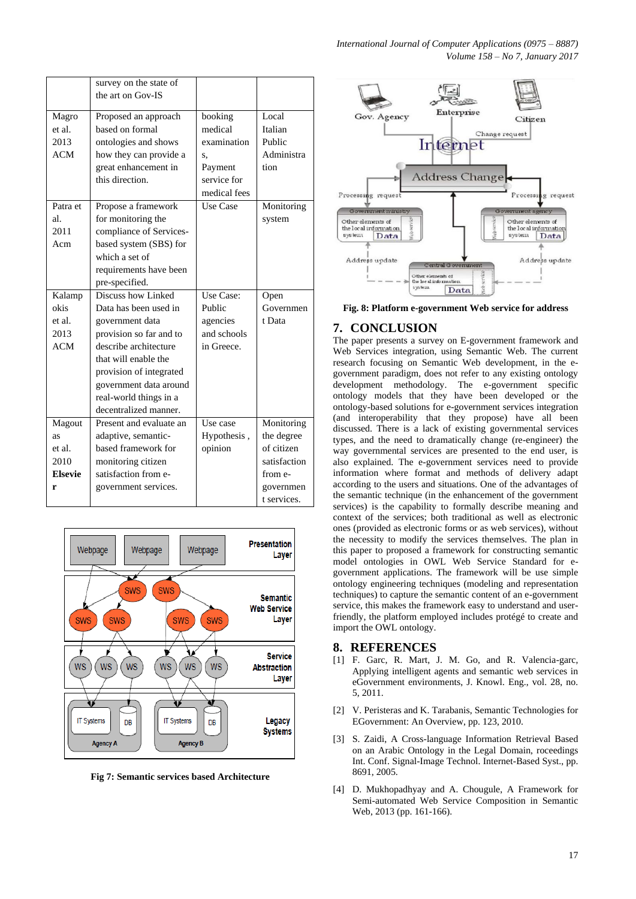|                 | survey on the state of<br>the art on Gov-IS |                    |                  |
|-----------------|---------------------------------------------|--------------------|------------------|
| Magro<br>et al. | Proposed an approach<br>based on formal     | booking<br>medical | Local<br>Italian |
| 2013            | ontologies and shows                        | examination        | Public           |
| <b>ACM</b>      | how they can provide a                      | S.                 | Administra       |
|                 | great enhancement in                        | Payment            | tion             |
|                 | this direction.                             | service for        |                  |
|                 |                                             | medical fees       |                  |
| Patra et        | Propose a framework                         | Use Case           | Monitoring       |
| al.             | for monitoring the                          |                    | system           |
| 2011            | compliance of Services-                     |                    |                  |
| Acm             | based system (SBS) for                      |                    |                  |
|                 | which a set of                              |                    |                  |
|                 | requirements have been                      |                    |                  |
|                 | pre-specified.                              |                    |                  |
| Kalamp          | Discuss how Linked                          | Use Case:          | Open             |
| okis            | Data has been used in                       | Public             | Governmen        |
| et al.          | government data                             | agencies           | t Data           |
| 2013            | provision so far and to                     | and schools        |                  |
| ACM             | describe architecture                       | in Greece.         |                  |
|                 | that will enable the                        |                    |                  |
|                 | provision of integrated                     |                    |                  |
|                 | government data around                      |                    |                  |
|                 | real-world things in a                      |                    |                  |
|                 | decentralized manner.                       |                    |                  |
| Magout          | Present and evaluate an                     | Use case           | Monitoring       |
| as              | adaptive, semantic-                         | Hypothesis,        | the degree       |
| et al.          | based framework for                         | opinion            | of citizen       |
| 2010            | monitoring citizen                          |                    | satisfaction     |
| <b>Elsevie</b>  | satisfaction from e-                        |                    | from e-          |
| r               | government services.                        |                    | governmen        |
|                 |                                             |                    | t services.      |



**Fig 7: Semantic services based Architecture**



**Fig. 8: Platform e-government Web service for address**

# **7. CONCLUSION**

The paper presents a survey on E-government framework and Web Services integration, using Semantic Web. The current research focusing on Semantic Web development, in the egovernment paradigm, does not refer to any existing ontology development methodology. The e-government specific ontology models that they have been developed or the ontology-based solutions for e-government services integration (and interoperability that they propose) have all been discussed. There is a lack of existing governmental services types, and the need to dramatically change (re-engineer) the way governmental services are presented to the end user, is also explained. The e-government services need to provide information where format and methods of delivery adapt according to the users and situations. One of the advantages of the semantic technique (in the enhancement of the government services) is the capability to formally describe meaning and context of the services; both traditional as well as electronic ones (provided as electronic forms or as web services), without the necessity to modify the services themselves. The plan in this paper to proposed a framework for constructing semantic model ontologies in OWL Web Service Standard for egovernment applications. The framework will be use simple ontology engineering techniques (modeling and representation techniques) to capture the semantic content of an e-government service, this makes the framework easy to understand and userfriendly, the platform employed includes protégé to create and import the OWL ontology.

#### **8. REFERENCES**

- [1] F. Garc, R. Mart, J. M. Go, and R. Valencia-garc, Applying intelligent agents and semantic web services in eGovernment environments, J. Knowl. Eng., vol. 28, no. 5, 2011.
- [2] V. Peristeras and K. Tarabanis, Semantic Technologies for EGovernment: An Overview, pp. 123, 2010.
- [3] S. Zaidi, A Cross-language Information Retrieval Based on an Arabic Ontology in the Legal Domain, roceedings Int. Conf. Signal-Image Technol. Internet-Based Syst., pp. 8691, 2005.
- [4] D. Mukhopadhyay and A. Chougule, A Framework for Semi-automated Web Service Composition in Semantic Web, 2013 (pp. 161-166).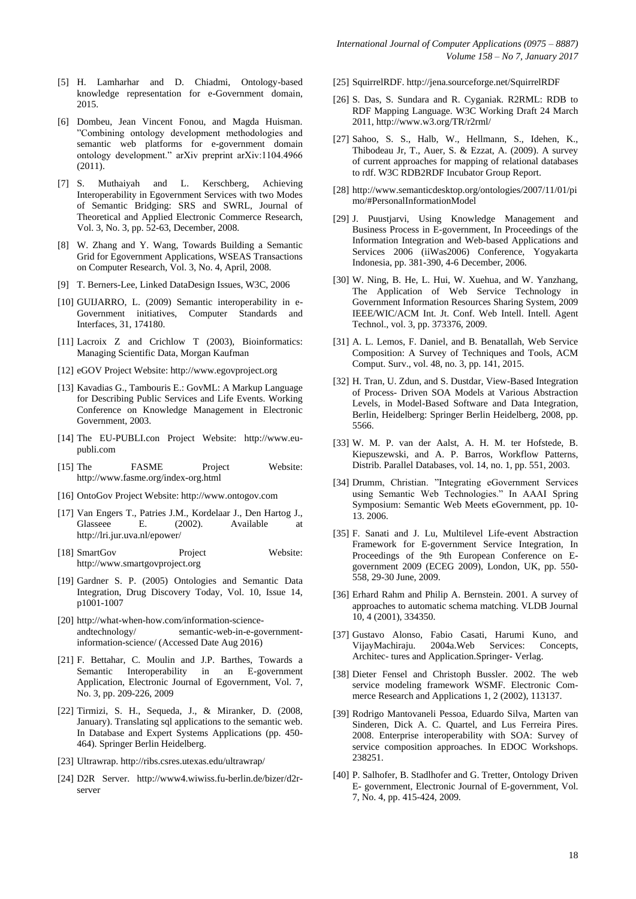- [5] H. Lamharhar and D. Chiadmi, Ontology-based knowledge representation for e-Government domain, 2015.
- [6] Dombeu, Jean Vincent Fonou, and Magda Huisman. "Combining ontology development methodologies and semantic web platforms for e-government domain ontology development." arXiv preprint arXiv:1104.4966 (2011).
- [7] S. Muthaiyah and L. Kerschberg, Achieving Interoperability in Egovernment Services with two Modes of Semantic Bridging: SRS and SWRL, Journal of Theoretical and Applied Electronic Commerce Research, Vol. 3, No. 3, pp. 52-63, December, 2008.
- [8] W. Zhang and Y. Wang, Towards Building a Semantic Grid for Egovernment Applications, WSEAS Transactions on Computer Research, Vol. 3, No. 4, April, 2008.
- [9] T. Berners-Lee, Linked DataDesign Issues, W3C, 2006
- [10] GUIJARRO, L. (2009) Semantic interoperability in e-Government initiatives, Computer Standards and Interfaces, 31, 174180.
- [11] Lacroix Z and Crichlow T (2003), Bioinformatics: Managing Scientific Data, Morgan Kaufman
- [12] eGOV Project Website: http://www.egovproject.org
- [13] Kavadias G., Tambouris E.: GovML: A Markup Language for Describing Public Services and Life Events. Working Conference on Knowledge Management in Electronic Government, 2003.
- [14] The EU-PUBLI.con Project Website: http://www.eupubli.com
- [15] The FASME Project Website: http://www.fasme.org/index-org.html
- [16] OntoGov Project Website: http://www.ontogov.com
- [17] Van Engers T., Patries J.M., Kordelaar J., Den Hartog J., Glasseee E. (2002). Available at http://lri.jur.uva.nl/epower/
- [18] SmartGov Project Website: http://www.smartgovproject.org
- [19] Gardner S. P. (2005) Ontologies and Semantic Data Integration, Drug Discovery Today, Vol. 10, Issue 14, p1001-1007
- [20] http://what-when-how.com/information-scienceandtechnology/ semantic-web-in-e-governmentinformation-science/ (Accessed Date Aug 2016)
- [21] F. Bettahar, C. Moulin and J.P. Barthes, Towards a Semantic Interoperability in an E-government Application, Electronic Journal of Egovernment, Vol. 7, No. 3, pp. 209-226, 2009
- [22] Tirmizi, S. H., Sequeda, J., & Miranker, D. (2008, January). Translating sql applications to the semantic web. In Database and Expert Systems Applications (pp. 450- 464). Springer Berlin Heidelberg.
- [23] Ultrawrap. http://ribs.csres.utexas.edu/ultrawrap/
- [24] D2R Server. http://www4.wiwiss.fu-berlin.de/bizer/d2rserver
- [25] SquirrelRDF. http://jena.sourceforge.net/SquirrelRDF
- [26] S. Das, S. Sundara and R. Cyganiak. R2RML: RDB to RDF Mapping Language. W3C Working Draft 24 March 2011, http://www.w3.org/TR/r2rml/
- [27] Sahoo, S. S., Halb, W., Hellmann, S., Idehen, K., Thibodeau Jr, T., Auer, S. & Ezzat, A. (2009). A survey of current approaches for mapping of relational databases to rdf. W3C RDB2RDF Incubator Group Report.
- [28] http://www.semanticdesktop.org/ontologies/2007/11/01/pi mo/#PersonalInformationModel
- [29] J. Puustjarvi, Using Knowledge Management and Business Process in E-government, In Proceedings of the Information Integration and Web-based Applications and Services 2006 (iiWas2006) Conference, Yogyakarta Indonesia, pp. 381-390, 4-6 December, 2006.
- [30] W. Ning, B. He, L. Hui, W. Xuehua, and W. Yanzhang, The Application of Web Service Technology in Government Information Resources Sharing System, 2009 IEEE/WIC/ACM Int. Jt. Conf. Web Intell. Intell. Agent Technol., vol. 3, pp. 373376, 2009.
- [31] A. L. Lemos, F. Daniel, and B. Benatallah, Web Service Composition: A Survey of Techniques and Tools, ACM Comput. Surv., vol. 48, no. 3, pp. 141, 2015.
- [32] H. Tran, U. Zdun, and S. Dustdar, View-Based Integration of Process- Driven SOA Models at Various Abstraction Levels, in Model-Based Software and Data Integration, Berlin, Heidelberg: Springer Berlin Heidelberg, 2008, pp. 5566.
- [33] W. M. P. van der Aalst, A. H. M. ter Hofstede, B. Kiepuszewski, and A. P. Barros, Workflow Patterns, Distrib. Parallel Databases, vol. 14, no. 1, pp. 551, 2003.
- [34] Drumm, Christian. "Integrating eGovernment Services using Semantic Web Technologies." In AAAI Spring Symposium: Semantic Web Meets eGovernment, pp. 10- 13. 2006.
- [35] F. Sanati and J. Lu, Multilevel Life-event Abstraction Framework for E-government Service Integration, In Proceedings of the 9th European Conference on Egovernment 2009 (ECEG 2009), London, UK, pp. 550- 558, 29-30 June, 2009.
- [36] Erhard Rahm and Philip A. Bernstein. 2001. A survey of approaches to automatic schema matching. VLDB Journal 10, 4 (2001), 334350.
- [37] Gustavo Alonso, Fabio Casati, Harumi Kuno, and VijayMachiraju. 2004a.Web Services: Concepts, Architec- tures and Application.Springer- Verlag.
- [38] Dieter Fensel and Christoph Bussler. 2002. The web service modeling framework WSMF. Electronic Commerce Research and Applications 1, 2 (2002), 113137.
- [39] Rodrigo Mantovaneli Pessoa, Eduardo Silva, Marten van Sinderen, Dick A. C. Quartel, and Lus Ferreira Pires. 2008. Enterprise interoperability with SOA: Survey of service composition approaches. In EDOC Workshops. 238251.
- [40] P. Salhofer, B. Stadlhofer and G. Tretter, Ontology Driven E- government, Electronic Journal of E-government, Vol. 7, No. 4, pp. 415-424, 2009.